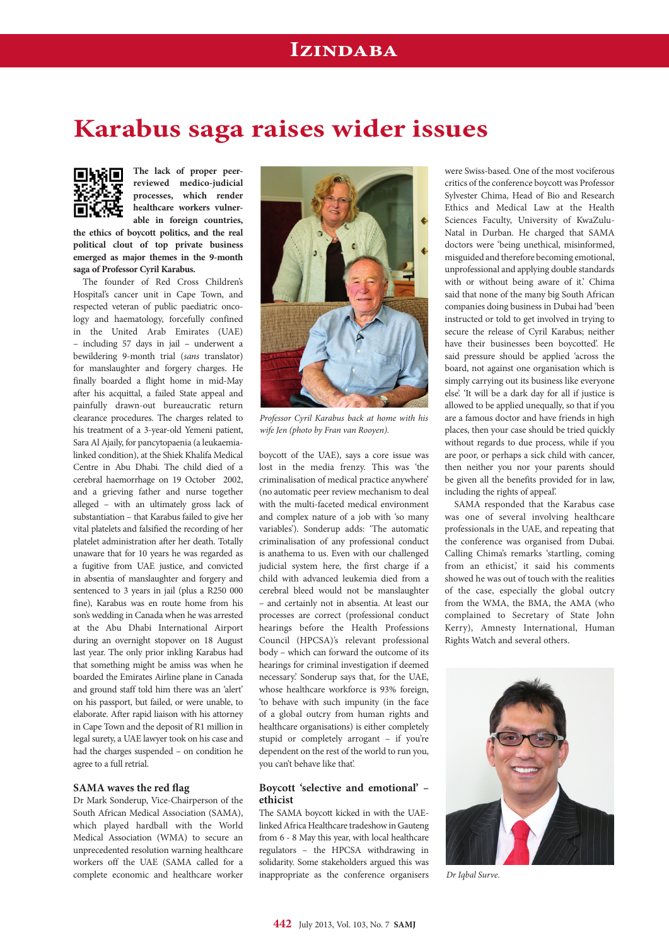## **Izindaba**

# **Karabus saga raises wider issues**



**The lack of proper peerreviewed medico-judicial processes, which render healthcare workers vulnerable in foreign countries,** 

**the ethics of boycott politics, and the real political clout of top private business emerged as major themes in the 9-month saga of Professor Cyril Karabus.**

The founder of Red Cross Children's Hospital's cancer unit in Cape Town, and respected veteran of public paediatric oncology and haematology, forcefully confined in the United Arab Emirates (UAE) – including 57 days in jail – underwent a bewildering 9-month trial (*sans* translator) for manslaughter and forgery charges. He finally boarded a flight home in mid-May after his acquittal, a failed State appeal and painfully drawn-out bureaucratic return clearance procedures. The charges related to his treatment of a 3-year-old Yemeni patient, Sara Al Ajaily, for pancytopaenia (a leukaemialinked condition), at the Shiek Khalifa Medical Centre in Abu Dhabi. The child died of a cerebral haemorrhage on 19 October 2002, and a grieving father and nurse together alleged – with an ultimately gross lack of substantiation – that Karabus failed to give her vital platelets and falsified the recording of her platelet administration after her death. Totally unaware that for 10 years he was regarded as a fugitive from UAE justice, and convicted in absentia of manslaughter and forgery and sentenced to 3 years in jail (plus a R250 000 fine), Karabus was en route home from his son's wedding in Canada when he was arrested at the Abu Dhabi International Airport during an overnight stopover on 18 August last year. The only prior inkling Karabus had that something might be amiss was when he boarded the Emirates Airline plane in Canada and ground staff told him there was an 'alert' on his passport, but failed, or were unable, to elaborate. After rapid liaison with his attorney in Cape Town and the deposit of R1 million in legal surety, a UAE lawyer took on his case and had the charges suspended – on condition he agree to a full retrial.

### **SAMA waves the red flag**

Dr Mark Sonderup, Vice-Chairperson of the South African Medical Association (SAMA), which played hardball with the World Medical Association (WMA) to secure an unprecedented resolution warning healthcare workers off the UAE (SAMA called for a complete economic and healthcare worker



*Professor Cyril Karabus back at home with his wife Jen (photo by Fran van Rooyen).*

boycott of the UAE), says a core issue was lost in the media frenzy. This was 'the criminalisation of medical practice anywhere' (no automatic peer review mechanism to deal with the multi-faceted medical environment and complex nature of a job with 'so many variables'). Sonderup adds: 'The automatic criminalisation of any professional conduct is anathema to us. Even with our challenged judicial system here, the first charge if a child with advanced leukemia died from a cerebral bleed would not be manslaughter – and certainly not in absentia. At least our processes are correct (professional conduct hearings before the Health Professions Council (HPCSA)'s relevant professional body – which can forward the outcome of its hearings for criminal investigation if deemed necessary.' Sonderup says that, for the UAE, whose healthcare workforce is 93% foreign, 'to behave with such impunity (in the face of a global outcry from human rights and healthcare organisations) is either completely stupid or completely arrogant – if you're dependent on the rest of the world to run you, you can't behave like that'.

#### **Boycott 'selective and emotional' – ethicist**

The SAMA boycott kicked in with the UAElinked Africa Healthcare tradeshow in Gauteng from 6 - 8 May this year, with local healthcare regulators – the HPCSA withdrawing in solidarity. Some stakeholders argued this was inappropriate as the conference organisers

were Swiss-based. One of the most vociferous critics of the conference boycott was Professor Sylvester Chima, Head of Bio and Research Ethics and Medical Law at the Health Sciences Faculty, University of KwaZulu-Natal in Durban. He charged that SAMA doctors were 'being unethical, misinformed, misguided and therefore becoming emotional, unprofessional and applying double standards with or without being aware of it.' Chima said that none of the many big South African companies doing business in Dubai had 'been instructed or told to get involved in trying to secure the release of Cyril Karabus; neither have their businesses been boycotted'. He said pressure should be applied 'across the board, not against one organisation which is simply carrying out its business like everyone else'. 'It will be a dark day for all if justice is allowed to be applied unequally, so that if you are a famous doctor and have friends in high places, then your case should be tried quickly without regards to due process, while if you are poor, or perhaps a sick child with cancer, then neither you nor your parents should be given all the benefits provided for in law, including the rights of appeal'.

SAMA responded that the Karabus case was one of several involving healthcare professionals in the UAE, and repeating that the conference was organised from Dubai. Calling Chima's remarks 'startling, coming from an ethicist,' it said his comments showed he was out of touch with the realities of the case, especially the global outcry from the WMA, the BMA, the AMA (who complained to Secretary of State John Kerry), Amnesty International, Human Rights Watch and several others.



*Dr Iqbal Surve.*